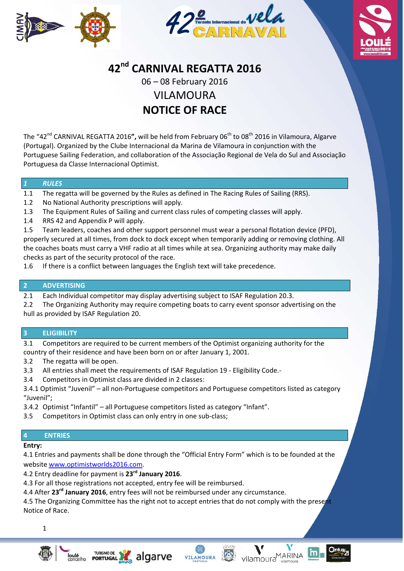





# **42nd CARNIVAL REGATTA 2016**

06 – 08 February 2016 VILAMOURA

# **NOTICE OF RACE**

The "42<sup>nd</sup> CARNIVAL REGATTA 2016", will be held from February 06<sup>th</sup> to 08<sup>th</sup> 2016 in Vilamoura, Algarve (Portugal). Organized by the Clube Internacional da Marina de Vilamoura in conjunction with the Portuguese Sailing Federation, and collaboration of the Associação Regional de Vela do Sul and Associação Portuguesa da Classe Internacional Optimist.

# *1 RULES*

- 1.1 The regatta will be governed by the Rules as defined in The Racing Rules of Sailing (RRS).
- 1.2 No National Authority prescriptions will apply.
- 1.3 The Equipment Rules of Sailing and current class rules of competing classes will apply.
- 1.4 RRS 42 and Appendix P will apply.

1.5 Team leaders, coaches and other support personnel must wear a personal flotation device (PFD), properly secured at all times, from dock to dock except when temporarily adding or removing clothing. All the coaches boats must carry a VHF radio at all times while at sea. Organizing authority may make daily checks as part of the security protocol of the race.

1.6 If there is a conflict between languages the English text will take precedence.

# **2 ADVERTISING**

2.1 Each Individual competitor may display advertising subject to ISAF Regulation 20.3.

2.2 The Organizing Authority may require competing boats to carry event sponsor advertising on the hull as provided by ISAF Regulation 20.

# **3 ELIGIBILITY**

3.1 Competitors are required to be current members of the Optimist organizing authority for the country of their residence and have been born on or after January 1, 2001.

- 3.2 The regatta will be open.
- 3.3 All entries shall meet the requirements of ISAF Regulation 19 ‐ Eligibility Code.‐
- 3.4 Competitors in Optimist class are divided in 2 classes:

3.4.1 Optimist "Juvenil" – all non‐Portuguese competitors and Portuguese competitors listed as category "Juvenil";

- 3.4.2 Optimist "Infantil" all Portuguese competitors listed as category "Infant".
- 3.5 Competitors in Optimist class can only entry in one sub‐class;

# **4 ENTRIES**

#### **Entry:**

4.1 Entries and payments shall be done through the "Official Entry Form" which is to be founded at the website www.optimistworlds2016.com.

4.2 Entry deadline for payment is **23rd January 2016**.

**TURISMO DE PORTUGAL** 

4.3 For all those registrations not accepted, entry fee will be reimbursed.

4.4 After **23rd January 2016**, entry fees will not be reimbursed under any circumstance.

4.5 The Organizing Committee has the right not to accept entries that do not comply with the present Notice of Race.

VILAMOURA

vilamoura<sup>MARINA</sup>

1



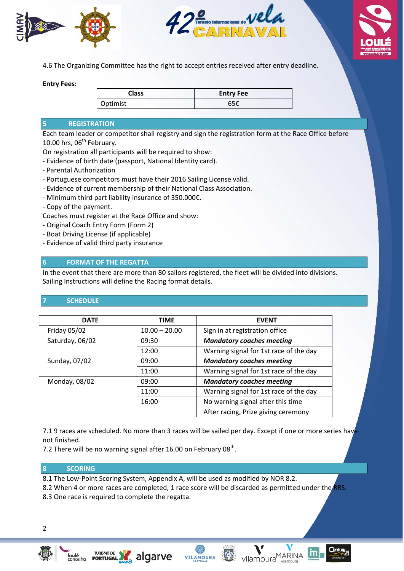





4.6 The Organizing Committee has the right to accept entries received after entry deadline.

**Entry Fees:**

| <b>Class</b> | <b>Entry Fee</b> |
|--------------|------------------|
| Optimist     | 65€              |

#### **5 REGISTRATION**

Each team leader or competitor shall registry and sign the registration form at the Race Office before 10.00 hrs,  $06^{th}$  February.

On registration all participants will be required to show:

‐ Evidence of birth date (passport, National Identity card).

- ‐ Parental Authorization
- ‐ Portuguese competitors must have their 2016 Sailing License valid.
- ‐ Evidence of current membership of their National Class Association.
- ‐ Minimum third part liability insurance of 350.000€.
- ‐ Copy of the payment.

Coaches must register at the Race Office and show:

- ‐ Original Coach Entry Form (Form 2)
- ‐ Boat Driving License (if applicable)
- ‐ Evidence of valid third party insurance

# **6 FORMAT OF THE REGATTA**

In the event that there are more than 80 sailors registered, the fleet will be divided into divisions. Sailing Instructions will define the Racing format details.

# **7 SCHEDULE**

| <b>DATE</b>     | <b>TIME</b>     | <b>EVENT</b>                           |
|-----------------|-----------------|----------------------------------------|
| Friday 05/02    | $10.00 - 20.00$ | Sign in at registration office         |
| Saturday, 06/02 | 09:30           | <b>Mandatory coaches meeting</b>       |
|                 | 12:00           | Warning signal for 1st race of the day |
| Sunday, 07/02   | 09:00           | <b>Mandatory coaches meeting</b>       |
|                 | 11:00           | Warning signal for 1st race of the day |
| Monday, 08/02   | 09:00           | <b>Mandatory coaches meeting</b>       |
|                 | 11:00           | Warning signal for 1st race of the day |
|                 | 16:00           | No warning signal after this time      |
|                 |                 | After racing, Prize giving ceremony    |

7.1 9 races are scheduled. No more than 3 races will be sailed per day. Except if one or more series have not finished.

7.2 There will be no warning signal after 16.00 on February 08<sup>th</sup>.

#### **8 SCORING**

8.1 The Low-Point Scoring System, Appendix A, will be used as modified by NOR 8.2.

8.2 When 4 or more races are completed, 1 race score will be discarded as permitted under the RRS.

**VILAMOURA** 

8.3 One race is required to complete the regatta.

TURISMO DE<br>**PORTUGAL** 



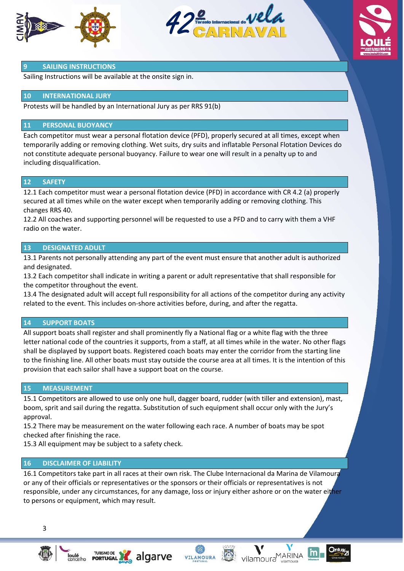





#### **9 SAILING INSTRUCTIONS**

Sailing Instructions will be available at the onsite sign in.

#### **10 INTERNATIONAL JURY**

Protests will be handled by an International Jury as per RRS 91(b)

#### **11 PERSONAL BUOYANCY**

Each competitor must wear a personal flotation device (PFD), properly secured at all times, except when temporarily adding or removing clothing. Wet suits, dry suits and inflatable Personal Flotation Devices do not constitute adequate personal buoyancy. Failure to wear one will result in a penalty up to and including disqualification.

#### **12 SAFETY**

12.1 Each competitor must wear a personal flotation device (PFD) in accordance with CR 4.2 (a) properly secured at all times while on the water except when temporarily adding or removing clothing. This changes RRS 40.

12.2 All coaches and supporting personnel will be requested to use a PFD and to carry with them a VHF radio on the water.

#### **13 DESIGNATED ADULT**

13.1 Parents not personally attending any part of the event must ensure that another adult is authorized and designated.

13.2 Each competitor shall indicate in writing a parent or adult representative that shall responsible for the competitor throughout the event.

13.4 The designated adult will accept full responsibility for all actions of the competitor during any activity related to the event. This includes on‐shore activities before, during, and after the regatta.

#### **14 SUPPORT BOATS**

All support boats shall register and shall prominently fly a National flag or a white flag with the three letter national code of the countries it supports, from a staff, at all times while in the water. No other flags shall be displayed by support boats. Registered coach boats may enter the corridor from the starting line to the finishing line. All other boats must stay outside the course area at all times. It is the intention of this provision that each sailor shall have a support boat on the course.

#### **15 MEASUREMENT**

15.1 Competitors are allowed to use only one hull, dagger board, rudder (with tiller and extension), mast, boom, sprit and sail during the regatta. Substitution of such equipment shall occur only with the Jury's approval.

15.2 There may be measurement on the water following each race. A number of boats may be spot checked after finishing the race.

15.3 All equipment may be subject to a safety check.

#### **16 DISCLAIMER OF LIABILITY**

16.1 Competitors take part in all races at their own risk. The Clube Internacional da Marina de Vilamoura or any of their officials or representatives or the sponsors or their officials or representatives is not responsible, under any circumstances, for any damage, loss or injury either ashore or on the water either to persons or equipment, which may result.







vilamoura<sup>MARINA</sup>